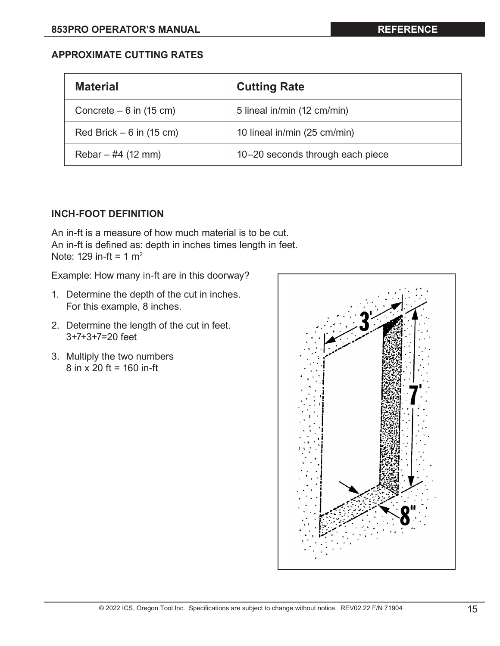### **APPROXIMATE CUTTING RATES**

| <b>Material</b>           | <b>Cutting Rate</b>              |
|---------------------------|----------------------------------|
| Concrete $-6$ in (15 cm)  | 5 lineal in/min (12 cm/min)      |
| Red Brick $-6$ in (15 cm) | 10 lineal in/min (25 cm/min)     |
| Rebar $-$ #4 (12 mm)      | 10-20 seconds through each piece |

### **INCH-FOOT DEFINITION**

An in-ft is a measure of how much material is to be cut. An in-ft is defined as: depth in inches times length in feet. Note: 129 in-ft = 1  $m<sup>2</sup>$ 

Example: How many in-ft are in this doorway?

- 1. Determine the depth of the cut in inches. For this example, 8 inches.
- 2. Determine the length of the cut in feet. 3+7+3+7=20 feet
- 3. Multiply the two numbers 8 in x 20 ft = 160 in-ft

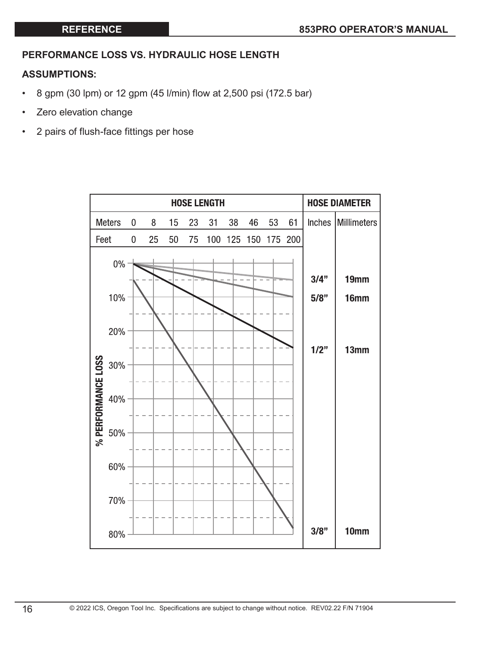## **PERFORMANCE LOSS VS. HYDRAULIC HOSE LENGTH**

### **ASSUMPTIONS:**

- 8 gpm (30 lpm) or 12 gpm (45 l/min) flow at 2,500 psi (172.5 bar)
- Zero elevation change
- 2 pairs of flush-face fittings per hose